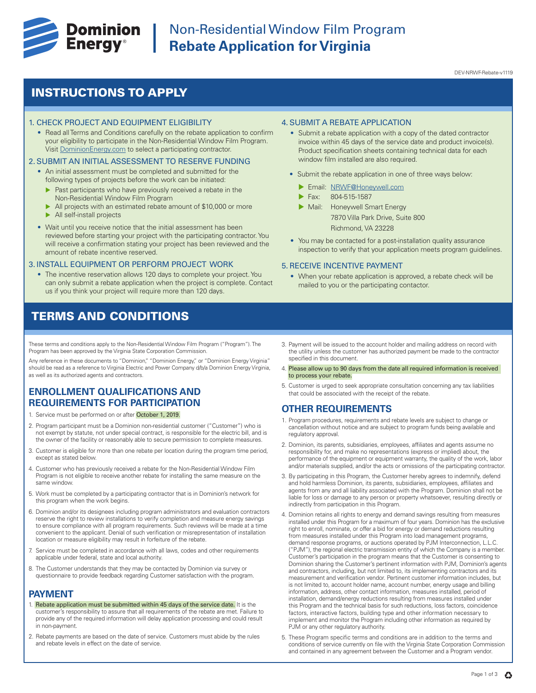

# **Dominion** Non-Residential Window Film Program<br> **Energy**<sup>®</sup> Rebate Application for Virginia **Rebate Application for Virginia**

DEV-NRWF-Rebate-v1119

## INSTRUCTIONS TO APPLY

#### 1. CHECK PROJECT AND EQUIPMENT ELIGIBILITY

• Read all Terms and Conditions carefully on the rebate application to confirm your eligibility to participate in the Non-Residential Window Film Program. Visit DominionEnergy.com to select a participating contractor.

#### 2. SUBMIT AN INITIAL ASSESSMENT TO RESERVE FUNDING

- An initial assessment must be completed and submitted for the following types of projects before the work can be initiated:
	- $\blacktriangleright$  Past participants who have previously received a rebate in the Non-Residential Window Film Program
	- All projects with an estimated rebate amount of \$10,000 or more
	- $\blacktriangleright$  All self-install projects
- Wait until you receive notice that the initial assessment has been reviewed before starting your project with the participating contractor. You will receive a confirmation stating your project has been reviewed and the amount of rebate incentive reserved.

#### 3. INSTALL EQUIPMENT OR PERFORM PROJECT WORK

• The incentive reservation allows 120 days to complete your project. You can only submit a rebate application when the project is complete. Contact us if you think your project will require more than 120 days.

### TERMS AND CONDITIONS

These terms and conditions apply to the Non-Residential Window Film Program ("Program"). The Program has been approved by the Virginia State Corporation Commission.

Any reference in these documents to "Dominion," "Dominion Energy," or "Dominion Energy Virginia" should be read as a reference to Virginia Electric and Power Company d/b/a Dominion Energy Virginia, as well as its authorized agents and contractors.

### **ENROLLMENT QUALIFICATIONS AND REQUIREMENTS FOR PARTICIPATION**

- 1. Service must be performed on or after October 1, 2019.
- 2. Program participant must be a Dominion non-residential customer ("Customer") who is not exempt by statute, not under special contract, is responsible for the electric bill, and is the owner of the facility or reasonably able to secure permission to complete measures.
- 3. Customer is eligible for more than one rebate per location during the program time period, except as stated below.
- 4. Customer who has previously received a rebate for the Non-Residential Window Film Program is not eligible to receive another rebate for installing the same measure on the same window.
- 5. Work must be completed by a participating contractor that is in Dominion's network for this program when the work begins.
- 6. Dominion and/or its designees including program administrators and evaluation contractors reserve the right to review installations to verify completion and measure energy savings to ensure compliance with all program requirements. Such reviews will be made at a time convenient to the applicant. Denial of such verification or misrepresentation of installation location or measure eligibility may result in forfeiture of the rebate.
- 7. Service must be completed in accordance with all laws, codes and other requirements applicable under federal, state and local authority.
- 8. The Customer understands that they may be contacted by Dominion via survey or questionnaire to provide feedback regarding Customer satisfaction with the program.

#### **PAYMENT**

- 1. Rebate application must be submitted within 45 days of the service date. It is the customer's responsibility to assure that all requirements of the rebate are met. Failure to provide any of the required information will delay application processing and could result in non-payment.
- 2. Rebate payments are based on the date of service. Customers must abide by the rules and rebate levels in effect on the date of service.

#### 4. SUBMIT A REBATE APPLICATION

- Submit a rebate application with a copy of the dated contractor invoice within 45 days of the service date and product invoice(s). Product specification sheets containing technical data for each window film installed are also required.
- Submit the rebate application in one of three ways below:
	- **Email: NRWF@Honeywell.com**
	- Fax: 804-515-1587
	- Mail: Honeywell Smart Energy 7870 Villa Park Drive, Suite 800 Richmond, VA 23228
- You may be contacted for a post-installation quality assurance inspection to verify that your application meets program guidelines.

#### 5. RECEIVE INCENTIVE PAYMENT

- When your rebate application is approved, a rebate check will be mailed to you or the participating contactor.
- 3. Payment will be issued to the account holder and mailing address on record with the utility unless the customer has authorized payment be made to the contractor specified in this document.
- 4. Please allow up to 90 days from the date all required information is received to process your rebate.
- 5. Customer is urged to seek appropriate consultation concerning any tax liabilities that could be associated with the receipt of the rebate.

### **OTHER REQUIREMENTS**

- 1. Program procedures, requirements and rebate levels are subject to change or cancellation without notice and are subject to program funds being available and regulatory approval.
- 2. Dominion, its parents, subsidiaries, employees, affiliates and agents assume no responsibility for, and make no representations (express or implied) about, the performance of the equipment or equipment warranty, the quality of the work, labor and/or materials supplied, and/or the acts or omissions of the participating contractor.
- 3. By participating in this Program, the Customer hereby agrees to indemnify, defend and hold harmless Dominion, its parents, subsidiaries, employees, affiliates and agents from any and all liability associated with the Program. Dominion shall not be liable for loss or damage to any person or property whatsoever, resulting directly or indirectly from participation in this Program.
- 4. Dominion retains all rights to energy and demand savings resulting from measures installed under this Program for a maximum of four years. Dominion has the exclusive right to enroll, nominate, or offer a bid for energy or demand reductions resulting from measures installed under this Program into load management programs, demand response programs, or auctions operated by PJM Interconnection, L.L.C. ("PJM"), the regional electric transmission entity of which the Company is a member. Customer's participation in the program means that the Customer is consenting to Dominion sharing the Customer's pertinent information with PJM, Dominion's agents and contractors, including, but not limited to, its implementing contractors and its measurement and verification vendor. Pertinent customer information includes, but is not limited to, account holder name, account number, energy usage and billing information, address, other contact information, measures installed, period of installation, demand/energy reductions resulting from measures installed under this Program and the technical basis for such reductions, loss factors, coincidence factors, interactive factors, building type and other information necessary to implement and monitor the Program including other information as required by PJM or any other regulatory authority.
- 5. These Program specific terms and conditions are in addition to the terms and conditions of service currently on file with the Virginia State Corporation Commission and contained in any agreement between the Customer and a Program vendor.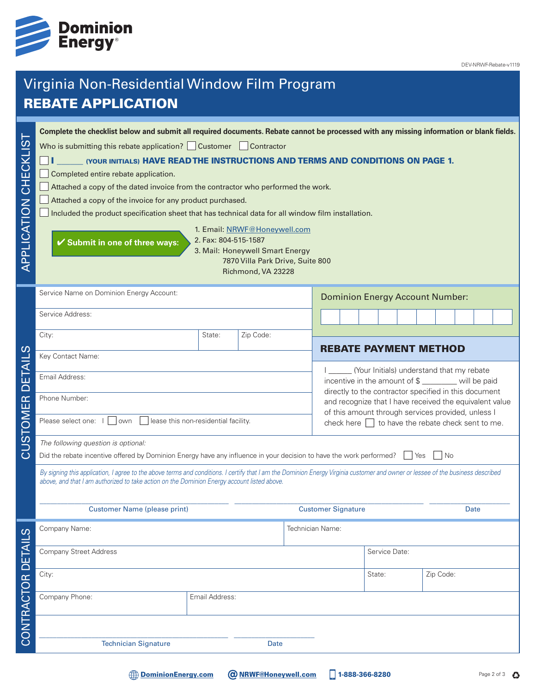

DEV-NRWF-Rebate-v1119

# Virginia Non-Residential Window Film Program REBATE APPLICATION

| .<br>()<br>CHECKLI<br>APPLICATION | Complete the checklist below and submit all required documents. Rebate cannot be processed with any missing information or blank fields.<br>Who is submitting this rebate application? $\Box$ Customer $\Box$ Contractor<br>(YOUR INITIALS) HAVE READ THE INSTRUCTIONS AND TERMS AND CONDITIONS ON PAGE 1.<br>Completed entire rebate application.<br>Attached a copy of the dated invoice from the contractor who performed the work.<br>Attached a copy of the invoice for any product purchased.<br>Included the product specification sheet that has technical data for all window film installation.<br>1. Email: NRWF@Honeywell.com<br>2. Fax: 804-515-1587<br>$\checkmark$ Submit in one of three ways:<br>3. Mail: Honeywell Smart Energy<br>7870 Villa Park Drive, Suite 800<br>Richmond, VA 23228 |                                                                                                                                                                                                                                                                                |                                   |  |  |  |  |  |  |       |      |  |  |  |
|-----------------------------------|-------------------------------------------------------------------------------------------------------------------------------------------------------------------------------------------------------------------------------------------------------------------------------------------------------------------------------------------------------------------------------------------------------------------------------------------------------------------------------------------------------------------------------------------------------------------------------------------------------------------------------------------------------------------------------------------------------------------------------------------------------------------------------------------------------------|--------------------------------------------------------------------------------------------------------------------------------------------------------------------------------------------------------------------------------------------------------------------------------|-----------------------------------|--|--|--|--|--|--|-------|------|--|--|--|
|                                   | Service Name on Dominion Energy Account:                                                                                                                                                                                                                                                                                                                                                                                                                                                                                                                                                                                                                                                                                                                                                                    | <b>Dominion Energy Account Number:</b>                                                                                                                                                                                                                                         |                                   |  |  |  |  |  |  |       |      |  |  |  |
|                                   | Service Address:                                                                                                                                                                                                                                                                                                                                                                                                                                                                                                                                                                                                                                                                                                                                                                                            |                                                                                                                                                                                                                                                                                |                                   |  |  |  |  |  |  |       |      |  |  |  |
|                                   | City:                                                                                                                                                                                                                                                                                                                                                                                                                                                                                                                                                                                                                                                                                                                                                                                                       | State:                                                                                                                                                                                                                                                                         | Zip Code:                         |  |  |  |  |  |  |       |      |  |  |  |
| ၯ                                 | Key Contact Name:                                                                                                                                                                                                                                                                                                                                                                                                                                                                                                                                                                                                                                                                                                                                                                                           |                                                                                                                                                                                                                                                                                | <b>REBATE PAYMENT METHOD</b>      |  |  |  |  |  |  |       |      |  |  |  |
| ய<br>$\overline{\cap}$            | (Your Initials) understand that my rebate<br>Email Address:<br>incentive in the amount of \$ ________ will be paid                                                                                                                                                                                                                                                                                                                                                                                                                                                                                                                                                                                                                                                                                          |                                                                                                                                                                                                                                                                                |                                   |  |  |  |  |  |  |       |      |  |  |  |
|                                   | Phone Number:                                                                                                                                                                                                                                                                                                                                                                                                                                                                                                                                                                                                                                                                                                                                                                                               | directly to the contractor specified in this document<br>and recognize that I have received the equivalent value                                                                                                                                                               |                                   |  |  |  |  |  |  |       |      |  |  |  |
| CUSTOMER                          | of this amount through services provided, unless I<br>lease this non-residential facility.<br>Please select one: I<br>own<br>check here $\Box$ to have the rebate check sent to me.                                                                                                                                                                                                                                                                                                                                                                                                                                                                                                                                                                                                                         |                                                                                                                                                                                                                                                                                |                                   |  |  |  |  |  |  |       |      |  |  |  |
|                                   | The following question is optional:                                                                                                                                                                                                                                                                                                                                                                                                                                                                                                                                                                                                                                                                                                                                                                         |                                                                                                                                                                                                                                                                                |                                   |  |  |  |  |  |  |       |      |  |  |  |
|                                   | Did the rebate incentive offered by Dominion Energy have any influence in your decision to have the work performed?                                                                                                                                                                                                                                                                                                                                                                                                                                                                                                                                                                                                                                                                                         |                                                                                                                                                                                                                                                                                |                                   |  |  |  |  |  |  | l Yes | l No |  |  |  |
|                                   |                                                                                                                                                                                                                                                                                                                                                                                                                                                                                                                                                                                                                                                                                                                                                                                                             | By signing this application, I agree to the above terms and conditions. I certify that I am the Dominion Energy Virginia customer and owner or lessee of the business described<br>above, and that I am authorized to take action on the Dominion Energy account listed above. |                                   |  |  |  |  |  |  |       |      |  |  |  |
|                                   | Customer Name (please print)                                                                                                                                                                                                                                                                                                                                                                                                                                                                                                                                                                                                                                                                                                                                                                                |                                                                                                                                                                                                                                                                                | <b>Customer Signature</b><br>Date |  |  |  |  |  |  |       |      |  |  |  |
| <u>ທ</u>                          | Company Name:                                                                                                                                                                                                                                                                                                                                                                                                                                                                                                                                                                                                                                                                                                                                                                                               |                                                                                                                                                                                                                                                                                | Technician Name:                  |  |  |  |  |  |  |       |      |  |  |  |
|                                   | <b>Company Street Address</b>                                                                                                                                                                                                                                                                                                                                                                                                                                                                                                                                                                                                                                                                                                                                                                               |                                                                                                                                                                                                                                                                                | Service Date:                     |  |  |  |  |  |  |       |      |  |  |  |
|                                   | City:                                                                                                                                                                                                                                                                                                                                                                                                                                                                                                                                                                                                                                                                                                                                                                                                       |                                                                                                                                                                                                                                                                                | Zip Code:<br>State:               |  |  |  |  |  |  |       |      |  |  |  |
| CONTRACTOR DETAIL                 | Company Phone:<br>Email Address:                                                                                                                                                                                                                                                                                                                                                                                                                                                                                                                                                                                                                                                                                                                                                                            |                                                                                                                                                                                                                                                                                |                                   |  |  |  |  |  |  |       |      |  |  |  |
|                                   |                                                                                                                                                                                                                                                                                                                                                                                                                                                                                                                                                                                                                                                                                                                                                                                                             |                                                                                                                                                                                                                                                                                |                                   |  |  |  |  |  |  |       |      |  |  |  |
|                                   | <b>Technician Signature</b><br>Date                                                                                                                                                                                                                                                                                                                                                                                                                                                                                                                                                                                                                                                                                                                                                                         |                                                                                                                                                                                                                                                                                |                                   |  |  |  |  |  |  |       |      |  |  |  |